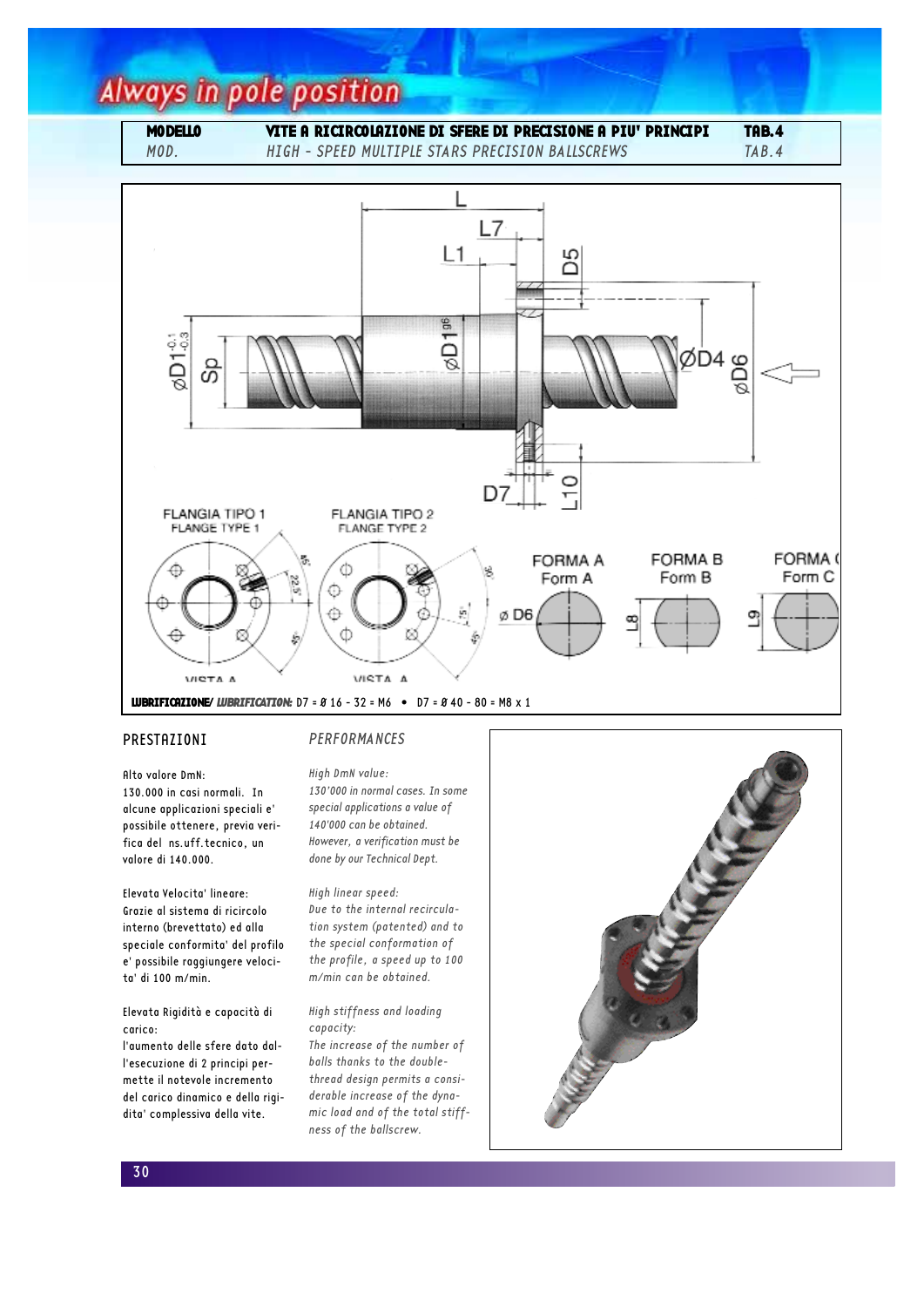# **Always in pole position**

### MODELLO VITE A RICIRCOLAZIONE DI SFERE DI PRECISIONE A PIU' PRINCIPI TAB.4

MOD. HIGH - SPEED MULTIPLE STARS PRECISION BALLSCREWS TAB.4



### PRESTAZIONI

## PERFORMANCES

Alto valore DmN: 130.000 in casi normali. In alcune applicazioni speciali e' possibile ottenere, previa verifica del ns.uff.tecnico, un valore di 140.000.

Elevata Velocita' lineare: Grazie al sistema di ricircolo interno (brevettato) ed alla speciale conformita' del profilo e' possibile raggiungere velocita' di 100 m/min.

### Elevata Rigidità e capacità di carico:

l'aumento delle sfere dato dall'esecuzione di 2 principi permette il notevole incremento del carico dinamico e della rigidita' complessiva della vite.

High DmN value: 130'000 in normal cases. In some special applications a value of 140'000 can be obtained. However, a verification must be done by our Technical Dept.

High linear speed: Due to the internal recirculation system (patented) and to the special conformation of the profile, a speed up to 100 m/min can be obtained.

#### High stiffness and loading capacity:

The increase of the number of balls thanks to the doublethread design permits a considerable increase of the dynamic load and of the total stiffness of the ballscrew.